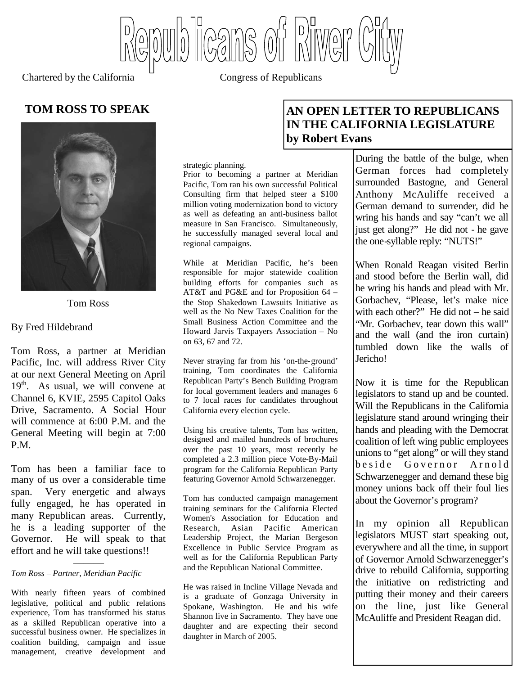Wblicans of Piwer

Chartered by the California <sup>C</sup> Congress of Republicans



Tom Ross

#### By Fred Hildebrand

Tom Ross, a partner at Meridian Pacific, Inc. will address River City at our next General Meeting on April  $19<sup>th</sup>$ . As usual, we will convene at Channel 6, KVIE, 2595 Capitol Oaks Drive, Sacramento. A Social Hour will commence at 6:00 P.M. and the General Meeting will begin at 7:00 P.M.

Tom has been a familiar face to many of us over a considerable time span. Very energetic and always fully engaged, he has operated in many Republican areas. Currently, he is a leading supporter of the Governor. He will speak to that effort and he will take questions!!

#### ——— *Tom Ross – Partner, Meridian Pacific*

With nearly fifteen years of combined legislative, political and public relations experience, Tom has transformed his status as a skilled Republican operative into a successful business owner. He specializes in coalition building, campaign and issue management, creative development and

#### strategic planning.

Prior to becoming a partner at Meridian Pacific, Tom ran his own successful Political Consulting firm that helped steer a \$100 million voting modernization bond to victory as well as defeating an anti-business ballot measure in San Francisco. Simultaneously, he successfully managed several local and regional campaigns.

While at Meridian Pacific, he's been responsible for major statewide coalition building efforts for companies such as AT&T and PG&E and for Proposition 64 – the Stop Shakedown Lawsuits Initiative as well as the No New Taxes Coalition for the Small Business Action Committee and the Howard Jarvis Taxpayers Association – No on 63, 67 and 72.

Never straying far from his 'on-the-ground' training, Tom coordinates the California Republican Party's Bench Building Program for local government leaders and manages 6 to 7 local races for candidates throughout California every election cycle.

Using his creative talents, Tom has written, designed and mailed hundreds of brochures over the past 10 years, most recently he completed a 2.3 million piece Vote-By-Mail program for the California Republican Party featuring Governor Arnold Schwarzenegger.

Tom has conducted campaign management training seminars for the California Elected Women's Association for Education and Research, Asian Pacific American Leadership Project, the Marian Bergeson Excellence in Public Service Program as well as for the California Republican Party and the Republican National Committee.

He was raised in Incline Village Nevada and is a graduate of Gonzaga University in Spokane, Washington. He and his wife Shannon live in Sacramento. They have one daughter and are expecting their second daughter in March of 2005.

# **TOM ROSS TO SPEAK AND AN OPEN LETTER TO REPUBLICANS IN THE CALIFORNIA LEGISLATURE by Robert Evans**

During the battle of the bulge, when German forces had completely surrounded Bastogne, and General Anthony McAuliffe received a German demand to surrender, did he wring his hands and say "can't we all just get along?" He did not - he gave the one-syllable reply: "NUTS!"

When Ronald Reagan visited Berlin and stood before the Berlin wall, did he wring his hands and plead with Mr. Gorbachev, "Please, let's make nice with each other?" He did not – he said "Mr. Gorbachev, tear down this wall" and the wall (and the iron curtain) tumbled down like the walls of Jericho!

Now it is time for the Republican legislators to stand up and be counted. Will the Republicans in the California legislature stand around wringing their hands and pleading with the Democrat coalition of left wing public employees unions to "get along" or will they stand beside Governor Arnold Schwarzenegger and demand these big money unions back off their foul lies about the Governor's program?

In my opinion all Republican legislators MUST start speaking out, everywhere and all the time, in support of Governor Arnold Schwarzenegger's drive to rebuild California, supporting the initiative on redistricting and putting their money and their careers on the line, just like General McAuliffe and President Reagan did.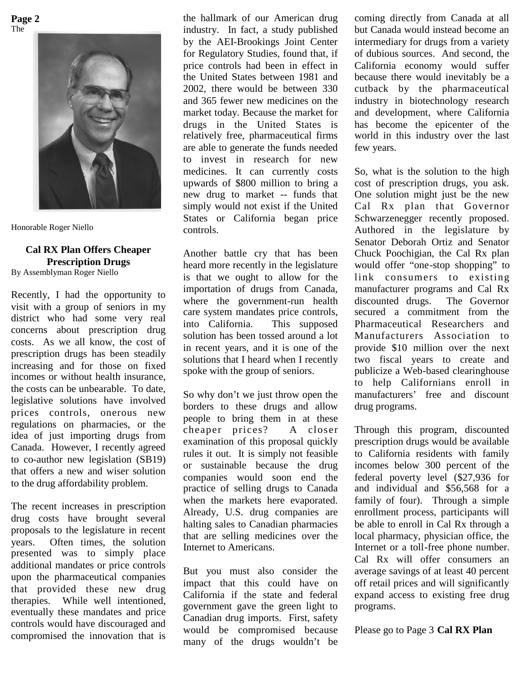**Page 2** The



Honorable Roger Niello

### **Cal RX Plan Offers Cheaper Prescription Drugs**

By Assemblyman Roger Niello

Recently, I had the opportunity to visit with a group of seniors in my district who had some very real concerns about prescription drug costs. As we all know, the cost of prescription drugs has been steadily increasing and for those on fixed incomes or without health insurance, the costs can be unbearable. To date, legislative solutions have involved prices controls, onerous new regulations on pharmacies, or the idea of just importing drugs from Canada. However, I recently agreed to co-author new legislation (SB19) that offers a new and wiser solution to the drug affordability problem.

The recent increases in prescription drug costs have brought several proposals to the legislature in recent years. Often times, the solution presented was to simply place additional mandates or price controls upon the pharmaceutical companies that provided these new drug therapies. While well intentioned, eventually these mandates and price controls would have discouraged and compromised the innovation that is

the hallmark of our American drug industry. In fact, a study published by the AEI-Brookings Joint Center for Regulatory Studies, found that, if price controls had been in effect in the United States between 1981 and 2002, there would be between 330 and 365 fewer new medicines on the market today. Because the market for drugs in the United States is relatively free, pharmaceutical firms are able to generate the funds needed to invest in research for new medicines. It can currently costs upwards of \$800 million to bring a new drug to market -- funds that simply would not exist if the United States or California began price controls.

Another battle cry that has been heard more recently in the legislature is that we ought to allow for the importation of drugs from Canada, where the government-run health care system mandates price controls, into California. This supposed solution has been tossed around a lot in recent years, and it is one of the solutions that I heard when I recently spoke with the group of seniors.

So why don't we just throw open the borders to these drugs and allow people to bring them in at these cheaper prices? A closer examination of this proposal quickly rules it out. It is simply not feasible or sustainable because the drug companies would soon end the practice of selling drugs to Canada when the markets here evaporated. Already, U.S. drug companies are halting sales to Canadian pharmacies that are selling medicines over the Internet to Americans.

But you must also consider the impact that this could have on California if the state and federal government gave the green light to Canadian drug imports. First, safety would be compromised because many of the drugs wouldn't be

coming directly from Canada at all but Canada would instead become an intermediary for drugs from a variety of dubious sources. And second, the California economy would suffer because there would inevitably be a cutback by the pharmaceutical industry in biotechnology research and development, where California has become the epicenter of the world in this industry over the last few years.

So, what is the solution to the high cost of prescription drugs, you ask. One solution might just be the new Cal Rx plan that Governor Schwarzenegger recently proposed. Authored in the legislature by Senator Deborah Ortiz and Senator Chuck Poochigian, the Cal Rx plan would offer "one-stop shopping" to link consumers to existing manufacturer programs and Cal Rx discounted drugs. The Governor secured a commitment from the Pharmaceutical Researchers and Manufacturers Association to provide \$10 million over the next two fiscal years to create and publicize a Web-based clearinghouse to help Californians enroll in manufacturers' free and discount drug programs.

Through this program, discounted prescription drugs would be available to California residents with family incomes below 300 percent of the federal poverty level (\$27,936 for and individual and \$56,568 for a family of four). Through a simple enrollment process, participants will be able to enroll in Cal Rx through a local pharmacy, physician office, the Internet or a toll-free phone number. Cal Rx will offer consumers an average savings of at least 40 percent off retail prices and will significantly expand access to existing free drug programs.

Please go to Page 3 **Cal RX Plan**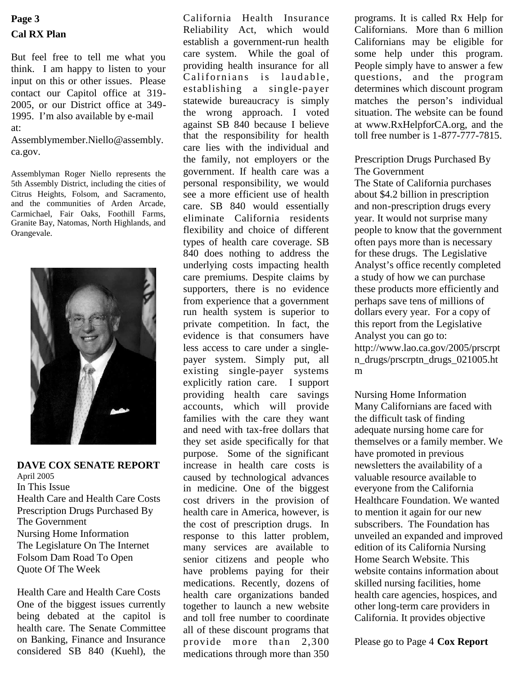# **Cal RX Plan Page 3**

But feel free to tell me what you think. I am happy to listen to your input on this or other issues. Please contact our Capitol office at 319- 2005, or our District office at 349- 1995. I'm also available by e-mail at:

Assemblymember.Niello@assembly. ca.gov.

Assemblyman Roger Niello represents the 5th Assembly District, including the cities of Citrus Heights, Folsom, and Sacramento, and the communities of Arden Arcade, Carmichael, Fair Oaks, Foothill Farms, Granite Bay, Natomas, North Highlands, and Orangevale.



**DAVE COX SENATE REPORT** April 2005 In This Issue Health Care and Health Care Costs Prescription Drugs Purchased By The Government Nursing Home Information The Legislature On The Internet Folsom Dam Road To Open Quote Of The Week

Health Care and Health Care Costs One of the biggest issues currently being debated at the capitol is health care. The Senate Committee on Banking, Finance and Insurance considered SB 840 (Kuehl), the

California Health Insurance Reliability Act, which would establish a government-run health care system. While the goal of providing health insurance for all Californians is laudable. establishing a single-payer statewide bureaucracy is simply the wrong approach. I voted against SB 840 because I believe that the responsibility for health care lies with the individual and the family, not employers or the government. If health care was a personal responsibility, we would see a more efficient use of health care. SB 840 would essentially eliminate California residents flexibility and choice of different types of health care coverage. SB 840 does nothing to address the underlying costs impacting health care premiums. Despite claims by supporters, there is no evidence from experience that a government run health system is superior to private competition. In fact, the evidence is that consumers have less access to care under a singlepayer system. Simply put, all existing single-payer systems explicitly ration care. I support providing health care savings accounts, which will provide families with the care they want and need with tax-free dollars that they set aside specifically for that purpose. Some of the significant increase in health care costs is caused by technological advances in medicine. One of the biggest cost drivers in the provision of health care in America, however, is the cost of prescription drugs. In response to this latter problem, many services are available to senior citizens and people who have problems paying for their medications. Recently, dozens of health care organizations banded together to launch a new website and toll free number to coordinate all of these discount programs that provide more than 2,300 medications through more than 350

programs. It is called Rx Help for Californians. More than 6 million Californians may be eligible for some help under this program. People simply have to answer a few questions, and the program determines which discount program matches the person's individual situation. The website can be found at www.RxHelpforCA.org, and the toll free number is 1-877-777-7815.

#### Prescription Drugs Purchased By The Government

The State of California purchases about \$4.2 billion in prescription and non-prescription drugs every year. It would not surprise many people to know that the government often pays more than is necessary for these drugs. The Legislative Analyst's office recently completed a study of how we can purchase these products more efficiently and perhaps save tens of millions of dollars every year. For a copy of this report from the Legislative Analyst you can go to: http://www.lao.ca.gov/2005/prscrpt n\_drugs/prscrptn\_drugs\_021005.ht m

Nursing Home Information Many Californians are faced with the difficult task of finding adequate nursing home care for themselves or a family member. We have promoted in previous newsletters the availability of a valuable resource available to everyone from the California Healthcare Foundation. We wanted to mention it again for our new subscribers. The Foundation has unveiled an expanded and improved edition of its California Nursing Home Search Website. This website contains information about skilled nursing facilities, home health care agencies, hospices, and other long-term care providers in California. It provides objective

Please go to Page 4 **Cox Report**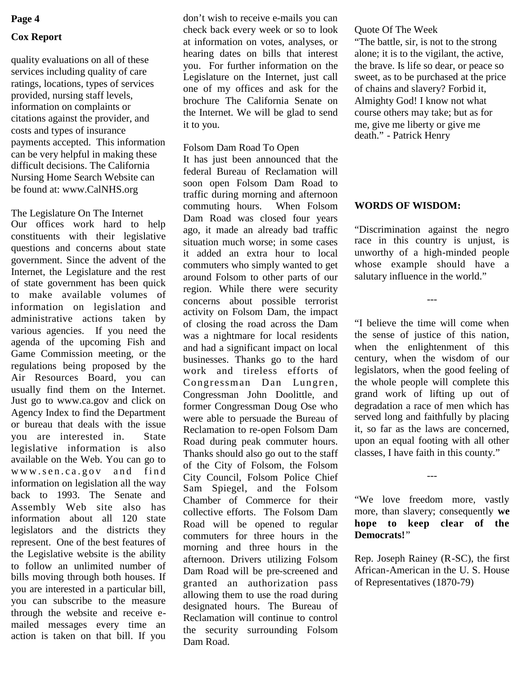#### **Page 4**

#### **Cox Report**

quality evaluations on all of these services including quality of care ratings, locations, types of services provided, nursing staff levels, information on complaints or citations against the provider, and costs and types of insurance payments accepted. This information can be very helpful in making these difficult decisions. The California Nursing Home Search Website can be found at: www.CalNHS.org

The Legislature On The Internet Our offices work hard to help constituents with their legislative questions and concerns about state government. Since the advent of the Internet, the Legislature and the rest of state government has been quick to make available volumes of information on legislation and administrative actions taken by various agencies. If you need the agenda of the upcoming Fish and Game Commission meeting, or the regulations being proposed by the Air Resources Board, you can usually find them on the Internet. Just go to www.ca.gov and click on Agency Index to find the Department or bureau that deals with the issue you are interested in. State legislative information is also available on the Web. You can go to www.sen.ca.gov and find information on legislation all the way back to 1993. The Senate and Assembly Web site also has information about all 120 state legislators and the districts they represent. One of the best features of the Legislative website is the ability to follow an unlimited number of bills moving through both houses. If you are interested in a particular bill, you can subscribe to the measure through the website and receive emailed messages every time an action is taken on that bill. If you

don't wish to receive e-mails you can check back every week or so to look at information on votes, analyses, or hearing dates on bills that interest you. For further information on the Legislature on the Internet, just call one of my offices and ask for the brochure The California Senate on the Internet. We will be glad to send it to you.

#### Folsom Dam Road To Open

It has just been announced that the federal Bureau of Reclamation will soon open Folsom Dam Road to traffic during morning and afternoon commuting hours. When Folsom Dam Road was closed four years ago, it made an already bad traffic situation much worse; in some cases it added an extra hour to local commuters who simply wanted to get around Folsom to other parts of our region. While there were security concerns about possible terrorist activity on Folsom Dam, the impact of closing the road across the Dam was a nightmare for local residents and had a significant impact on local businesses. Thanks go to the hard work and tireless efforts of Congressman Dan Lungren, Congressman John Doolittle, and former Congressman Doug Ose who were able to persuade the Bureau of Reclamation to re-open Folsom Dam Road during peak commuter hours. Thanks should also go out to the staff of the City of Folsom, the Folsom City Council, Folsom Police Chief Sam Spiegel, and the Folsom Chamber of Commerce for their collective efforts. The Folsom Dam Road will be opened to regular commuters for three hours in the morning and three hours in the afternoon. Drivers utilizing Folsom Dam Road will be pre-screened and granted an authorization pass allowing them to use the road during designated hours. The Bureau of Reclamation will continue to control the security surrounding Folsom Dam Road.

#### Quote Of The Week

"The battle, sir, is not to the strong alone; it is to the vigilant, the active, the brave. Is life so dear, or peace so sweet, as to be purchased at the price of chains and slavery? Forbid it, Almighty God! I know not what course others may take; but as for me, give me liberty or give me death." - Patrick Henry

#### **WORDS OF WISDOM:**

"Discrimination against the negro race in this country is unjust, is unworthy of a high-minded people whose example should have a salutary influence in the world."

---

"I believe the time will come when the sense of justice of this nation, when the enlightenment of this century, when the wisdom of our legislators, when the good feeling of the whole people will complete this grand work of lifting up out of degradation a race of men which has served long and faithfully by placing it, so far as the laws are concerned, upon an equal footing with all other classes, I have faith in this county."

"We love freedom more, vastly more, than slavery; consequently **we hope to keep clear of the Democrats!**"

---

Rep. Joseph Rainey (R-SC), the first African-American in the U. S. House of Representatives (1870-79)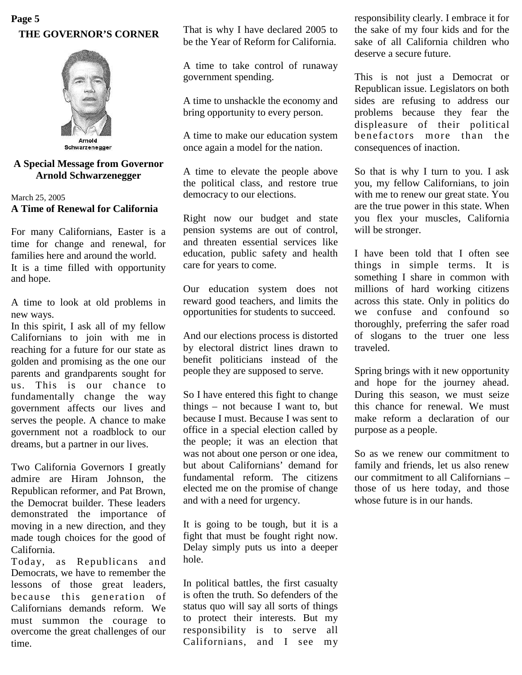## **THE GOVERNOR'S CORNER Page 5**



### **A Special Message from Governor Arnold Schwarzenegger**

#### March 25, 2005 **A Time of Renewal for California**

For many Californians, Easter is a time for change and renewal, for families here and around the world. It is a time filled with opportunity and hope.

A time to look at old problems in new ways.

In this spirit, I ask all of my fellow Californians to join with me in reaching for a future for our state as golden and promising as the one our parents and grandparents sought for us. This is our chance to fundamentally change the way government affects our lives and serves the people. A chance to make government not a roadblock to our dreams, but a partner in our lives.

Two California Governors I greatly admire are Hiram Johnson, the Republican reformer, and Pat Brown, the Democrat builder. These leaders demonstrated the importance of moving in a new direction, and they made tough choices for the good of California.

Today, as Republicans and Democrats, we have to remember the lessons of those great leaders, because this generation of Californians demands reform. We must summon the courage to overcome the great challenges of our time.

That is why I have declared 2005 to be the Year of Reform for California.

A time to take control of runaway government spending.

A time to unshackle the economy and bring opportunity to every person.

A time to make our education system once again a model for the nation.

A time to elevate the people above the political class, and restore true democracy to our elections.

Right now our budget and state pension systems are out of control, and threaten essential services like education, public safety and health care for years to come.

Our education system does not reward good teachers, and limits the opportunities for students to succeed.

And our elections process is distorted by electoral district lines drawn to benefit politicians instead of the people they are supposed to serve.

So I have entered this fight to change things – not because I want to, but because I must. Because I was sent to office in a special election called by the people; it was an election that was not about one person or one idea, but about Californians' demand for fundamental reform. The citizens elected me on the promise of change and with a need for urgency.

It is going to be tough, but it is a fight that must be fought right now. Delay simply puts us into a deeper hole.

In political battles, the first casualty is often the truth. So defenders of the status quo will say all sorts of things to protect their interests. But my responsibility is to serve all Californians, and I see my

responsibility clearly. I embrace it for the sake of my four kids and for the sake of all California children who deserve a secure future.

This is not just a Democrat or Republican issue. Legislators on both sides are refusing to address our problems because they fear the displeasure of their political benefactors more than the consequences of inaction.

So that is why I turn to you. I ask you, my fellow Californians, to join with me to renew our great state. You are the true power in this state. When you flex your muscles, California will be stronger.

I have been told that I often see things in simple terms. It is something I share in common with millions of hard working citizens across this state. Only in politics do we confuse and confound so thoroughly, preferring the safer road of slogans to the truer one less traveled.

Spring brings with it new opportunity and hope for the journey ahead. During this season, we must seize this chance for renewal. We must make reform a declaration of our purpose as a people.

So as we renew our commitment to family and friends, let us also renew our commitment to all Californians – those of us here today, and those whose future is in our hands.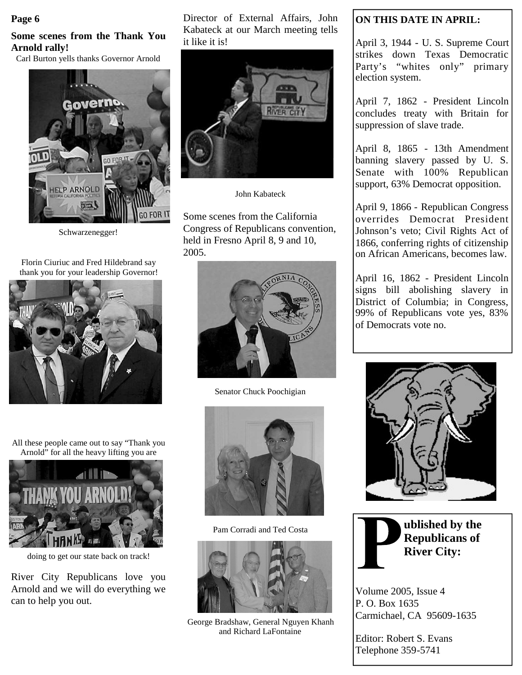#### **Page 6**

# **Some scenes from the Thank You Arnold rally!**

Carl Burton yells thanks Governor Arnold



Schwarzenegger!

Florin Ciuriuc and Fred Hildebrand say thank you for your leadership Governor!



All these people came out to say "Thank you Arnold" for all the heavy lifting you are



doing to get our state back on track!

River City Republicans love you Arnold and we will do everything we can to help you out.

Director of External Affairs, John Kabateck at our March meeting tells it like it is!



John Kabateck

Some scenes from the California Congress of Republicans convention, held in Fresno April 8, 9 and 10, 2005.



Senator Chuck Poochigian



Pam Corradi and Ted Costa



George Bradshaw, General Nguyen Khanh and Richard LaFontaine

# **ON THIS DATE IN APRIL:**

April 3, 1944 - U. S. Supreme Court strikes down Texas Democratic Party's "whites only" primary election system.

April 7, 1862 - President Lincoln concludes treaty with Britain for suppression of slave trade.

April 8, 1865 - 13th Amendment banning slavery passed by U. S. Senate with 100% Republican support, 63% Democrat opposition.

April 9, 1866 - Republican Congress overrides Democrat President Johnson's veto; Civil Rights Act of 1866, conferring rights of citizenship on African Americans, becomes law.

April 16, 1862 - President Lincoln signs bill abolishing slavery in District of Columbia; in Congress, 99% of Republicans vote yes, 83% of Democrats vote no.





**ublished by the Republicans of River City:**

Volume 2005, Issue 4 P. O. Box 1635 Carmichael, CA 95609-1635

Editor: Robert S. Evans Telephone 359-5741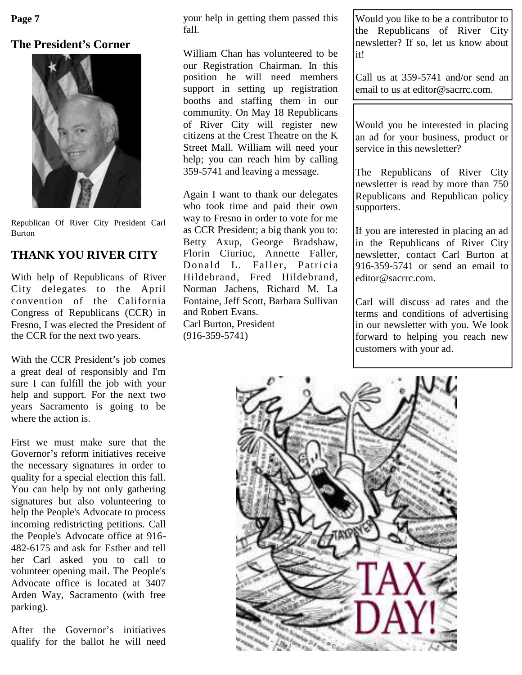**Page 7**

# **The President's Corner**



Republican Of River City President Carl Burton

# **THANK YOU RIVER CITY**

With help of Republicans of River City delegates to the April convention of the California Congress of Republicans (CCR) in Fresno, I was elected the President of the CCR for the next two years.

With the CCR President's job comes a great deal of responsibly and I'm sure I can fulfill the job with your help and support. For the next two years Sacramento is going to be where the action is.

First we must make sure that the Governor's reform initiatives receive the necessary signatures in order to quality for a special election this fall. You can help by not only gathering signatures but also volunteering to help the People's Advocate to process incoming redistricting petitions. Call the People's Advocate office at 916- 482-6175 and ask for Esther and tell her Carl asked you to call to volunteer opening mail. The People's Advocate office is located at 3407 Arden Way, Sacramento (with free parking).

After the Governor's initiatives qualify for the ballot he will need

your help in getting them passed this fall.

William Chan has volunteered to be our Registration Chairman. In this position he will need members support in setting up registration booths and staffing them in our community. On May 18 Republicans of River City will register new citizens at the Crest Theatre on the K Street Mall. William will need your help; you can reach him by calling 359-5741 and leaving a message.

Again I want to thank our delegates who took time and paid their own way to Fresno in order to vote for me as CCR President; a big thank you to: Betty Axup, George Bradshaw, Florin Ciuriuc, Annette Faller, Donald L. Faller, Patricia Hildebrand, Fred Hildebrand, Norman Jachens, Richard M. La Fontaine, Jeff Scott, Barbara Sullivan and Robert Evans. Carl Burton, President (916-359-5741)

Would you like to be a contributor to the Republicans of River City newsletter? If so, let us know about it!

Call us at 359-5741 and/or send an email to us at editor@sacrrc.com.

Would you be interested in placing an ad for your business, product or service in this newsletter?

The Republicans of River City newsletter is read by more than 750 Republicans and Republican policy supporters.

If you are interested in placing an ad in the Republicans of River City newsletter, contact Carl Burton at 916-359-5741 or send an email to editor@sacrrc.com.

Carl will discuss ad rates and the terms and conditions of advertising in our newsletter with you. We look forward to helping you reach new customers with your ad.